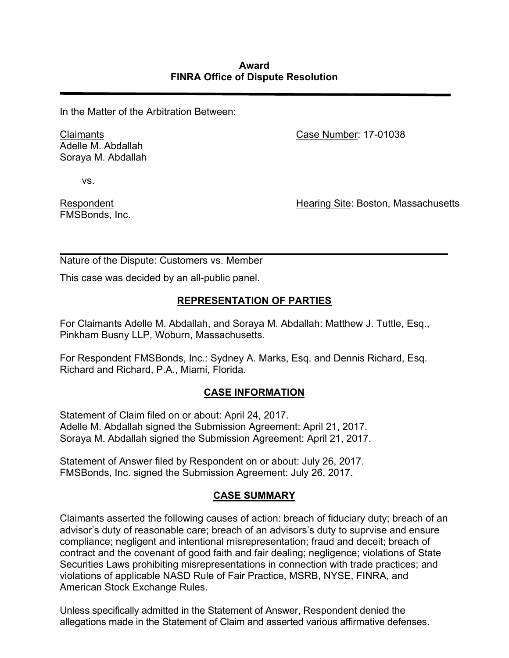In the Matter of the Arbitration Between:

Claimants Adelle M. Abdallah Soraya M. Abdallah Case Number: 17-01038

vs.

Respondent FMSBonds, Inc. Hearing Site: Boston, Massachusetts

Nature of the Dispute: Customers vs. Member

This case was decided by an all-public panel.

### **REPRESENTATION OF PARTIES**

*\_\_\_\_\_\_\_\_\_\_\_\_\_\_\_\_\_\_\_\_\_\_\_\_\_\_\_\_\_\_\_\_\_\_\_\_\_\_\_\_\_\_\_\_\_\_\_\_\_\_\_\_\_\_\_\_\_\_\_\_\_\_\_\_\_\_\_\_\_\_*

For Claimants Adelle M. Abdallah, and Soraya M. Abdallah: Matthew J. Tuttle, Esq., Pinkham Busny LLP, Woburn, Massachusetts.

For Respondent FMSBonds, Inc.: Sydney A. Marks, Esq. and Dennis Richard, Esq. Richard and Richard, P.A., Miami, Florida.

#### **CASE INFORMATION**

Statement of Claim filed on or about: April 24, 2017. Adelle M. Abdallah signed the Submission Agreement: April 21, 2017. Soraya M. Abdallah signed the Submission Agreement: April 21, 2017.

Statement of Answer filed by Respondent on or about: July 26, 2017. FMSBonds, Inc. signed the Submission Agreement: July 26, 2017.

#### **CASE SUMMARY**

Claimants asserted the following causes of action: breach of fiduciary duty; breach of an advisor's duty of reasonable care; breach of an advisors's duty to suprvise and ensure compliance; negligent and intentional misrepresentation; fraud and deceit; breach of contract and the covenant of good faith and fair dealing; negligence; violations of State Securities Laws prohibiting misrepresentations in connection with trade practices; and violations of applicable NASD Rule of Fair Practice, MSRB, NYSE, FINRA, and American Stock Exchange Rules.

Unless specifically admitted in the Statement of Answer, Respondent denied the allegations made in the Statement of Claim and asserted various affirmative defenses.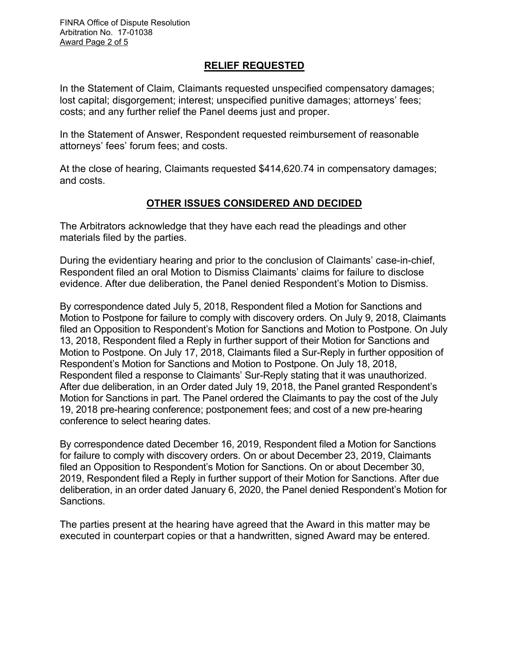#### **RELIEF REQUESTED**

In the Statement of Claim*,* Claimants requested unspecified compensatory damages; lost capital; disgorgement; interest; unspecified punitive damages; attorneys' fees; costs; and any further relief the Panel deems just and proper.

In the Statement of Answer, Respondent requested reimbursement of reasonable attorneys' fees' forum fees; and costs.

At the close of hearing, Claimants requested \$414,620.74 in compensatory damages; and costs.

# **OTHER ISSUES CONSIDERED AND DECIDED**

The Arbitrators acknowledge that they have each read the pleadings and other materials filed by the parties.

During the evidentiary hearing and prior to the conclusion of Claimants' case-in-chief, Respondent filed an oral Motion to Dismiss Claimants' claims for failure to disclose evidence. After due deliberation, the Panel denied Respondent's Motion to Dismiss.

By correspondence dated July 5, 2018, Respondent filed a Motion for Sanctions and Motion to Postpone for failure to comply with discovery orders. On July 9, 2018, Claimants filed an Opposition to Respondent's Motion for Sanctions and Motion to Postpone. On July 13, 2018, Respondent filed a Reply in further support of their Motion for Sanctions and Motion to Postpone. On July 17, 2018, Claimants filed a Sur-Reply in further opposition of Respondent's Motion for Sanctions and Motion to Postpone. On July 18, 2018, Respondent filed a response to Claimants' Sur-Reply stating that it was unauthorized. After due deliberation, in an Order dated July 19, 2018, the Panel granted Respondent's Motion for Sanctions in part. The Panel ordered the Claimants to pay the cost of the July 19, 2018 pre-hearing conference; postponement fees; and cost of a new pre-hearing conference to select hearing dates.

By correspondence dated December 16, 2019, Respondent filed a Motion for Sanctions for failure to comply with discovery orders. On or about December 23, 2019, Claimants filed an Opposition to Respondent's Motion for Sanctions. On or about December 30, 2019, Respondent filed a Reply in further support of their Motion for Sanctions. After due deliberation, in an order dated January 6, 2020, the Panel denied Respondent's Motion for Sanctions.

The parties present at the hearing have agreed that the Award in this matter may be executed in counterpart copies or that a handwritten, signed Award may be entered.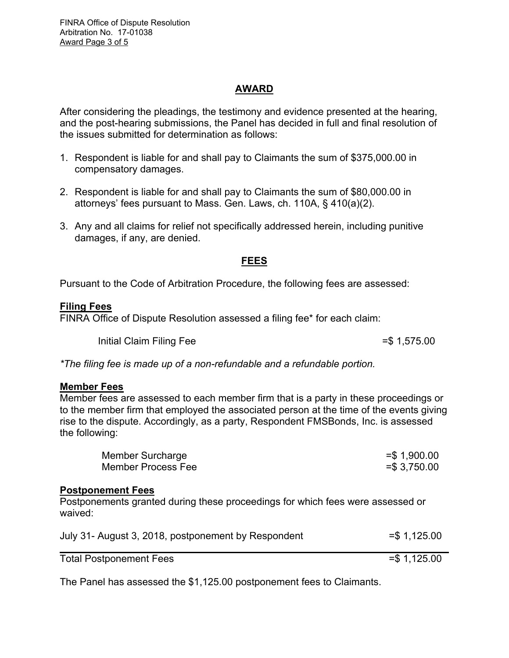# **AWARD**

After considering the pleadings, the testimony and evidence presented at the hearing, and the post-hearing submissions, the Panel has decided in full and final resolution of the issues submitted for determination as follows:

- 1. Respondent is liable for and shall pay to Claimants the sum of \$375,000.00 in compensatory damages.
- 2. Respondent is liable for and shall pay to Claimants the sum of \$80,000.00 in attorneys' fees pursuant to Mass. Gen. Laws, ch. 110A, § 410(a)(2).
- 3. Any and all claims for relief not specifically addressed herein, including punitive damages, if any, are denied.

# **FEES**

Pursuant to the Code of Arbitration Procedure, the following fees are assessed:

#### **Filing Fees**

FINRA Office of Dispute Resolution assessed a filing fee\* for each claim:

Initial Claim Filing Fee  $=$  \$ 1,575.00

*\*The filing fee is made up of a non-refundable and a refundable portion.*

#### **Member Fees**

Member fees are assessed to each member firm that is a party in these proceedings or to the member firm that employed the associated person at the time of the events giving rise to the dispute. Accordingly, as a party, Respondent FMSBonds, Inc. is assessed the following:

| Member Surcharge   | $=$ \$1,900.00 |
|--------------------|----------------|
| Member Process Fee | $= $3,750.00$  |

#### **Postponement Fees**

Postponements granted during these proceedings for which fees were assessed or waived:

| July 31- August 3, 2018, postponement by Respondent | $=$ \$1,125.00 |
|-----------------------------------------------------|----------------|
| <b>Total Postponement Fees</b>                      | $=$ \$1,125.00 |

The Panel has assessed the \$1,125.00 postponement fees to Claimants.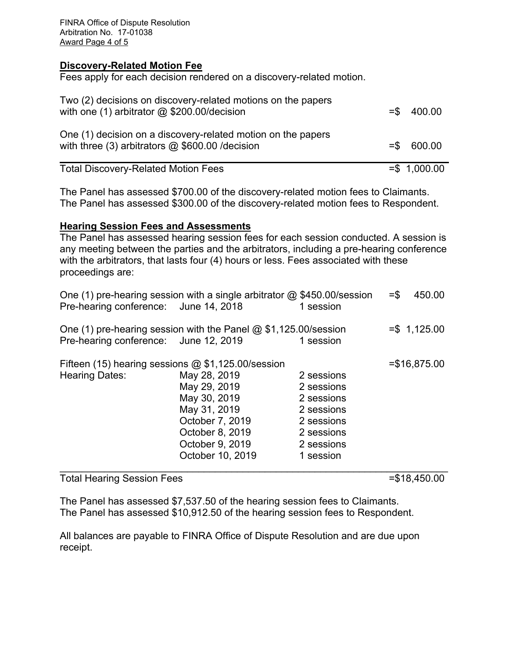FINRA Office of Dispute Resolution Arbitration No. 17-01038 Award Page 4 of 5

#### **Discovery-Related Motion Fee**

Fees apply for each decision rendered on a discovery-related motion.

| Two (2) decisions on discovery-related motions on the papers<br>with one (1) arbitrator $@$ \$200.00/decision      | $=$ \$400.00   |
|--------------------------------------------------------------------------------------------------------------------|----------------|
| One (1) decision on a discovery-related motion on the papers<br>with three (3) arbitrators $@$ \$600.00 / decision | $=$ \$ 600.00  |
| <b>Total Discovery-Related Motion Fees</b>                                                                         | $= $ 1,000.00$ |

The Panel has assessed \$700.00 of the discovery-related motion fees to Claimants. The Panel has assessed \$300.00 of the discovery-related motion fees to Respondent.

#### **Hearing Session Fees and Assessments**

The Panel has assessed hearing session fees for each session conducted. A session is any meeting between the parties and the arbitrators, including a pre-hearing conference with the arbitrators, that lasts four (4) hours or less. Fees associated with these proceedings are:

| Pre-hearing conference: June 14, 2018                                         | One (1) pre-hearing session with a single arbitrator $\omega$ \$450.00/session                                                            | 1 session                                                                                                   | 450.00<br>$=$ \$ |
|-------------------------------------------------------------------------------|-------------------------------------------------------------------------------------------------------------------------------------------|-------------------------------------------------------------------------------------------------------------|------------------|
| Pre-hearing conference: June 12, 2019                                         | One (1) pre-hearing session with the Panel $@$ \$1,125.00/session                                                                         | 1 session                                                                                                   | $= $ 1,125.00$   |
| Fifteen (15) hearing sessions $@$ \$1,125.00/session<br><b>Hearing Dates:</b> | May 28, 2019<br>May 29, 2019<br>May 30, 2019<br>May 31, 2019<br>October 7, 2019<br>October 8, 2019<br>October 9, 2019<br>October 10, 2019 | 2 sessions<br>2 sessions<br>2 sessions<br>2 sessions<br>2 sessions<br>2 sessions<br>2 sessions<br>1 session | $= $16,875.00$   |

Total Hearing Session Fees =  $$18,450.00$ 

The Panel has assessed \$7,537.50 of the hearing session fees to Claimants. The Panel has assessed \$10,912.50 of the hearing session fees to Respondent.

All balances are payable to FINRA Office of Dispute Resolution and are due upon receipt.